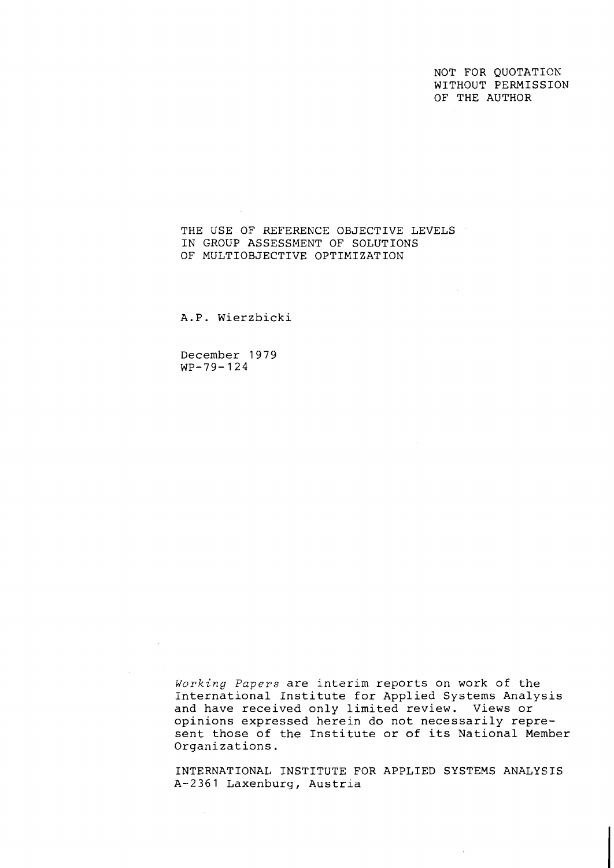NOT FOR QUOTATION WITHOUT PERMISSION OF THE AUTHOR

### THE USE OF REFERENCE OBJECTIVE LEVELS IN GROUP ASSESSMENT OF SOLUTIONS OF MULTIOBJECTIVE OPTIMIZATION

A.P. Wierzbicki

 $\sim$ 

December 1979 WP-79- 124

 $\sim 10^{-11}$ 

Working Papers are interim reports on work of the International Institute for Applied Systems Analysis and have received only limited review. Views or opinions expressed herein do not necessarily represent those of the Institute or of its National Member Organizations.

INTERNATIONAL INSTITUTE FOR APPLIED SYSTEMS ANALYSIS A-2361 Laxenburg, Austria

 $\ddot{\phantom{1}}$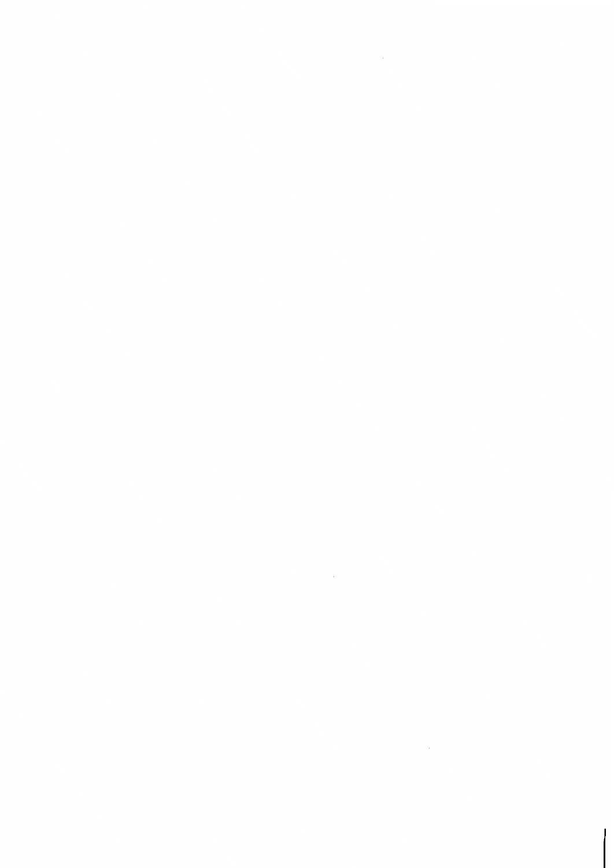$\label{eq:2.1} \mathcal{L}(\mathcal{L}^{\text{max}}_{\text{max}}(\mathcal{L}^{\text{max}}_{\text{max}})) = \mathcal{L}(\mathcal{L}^{\text{max}}_{\text{max}}(\mathcal{L}^{\text{max}}_{\text{max}}))$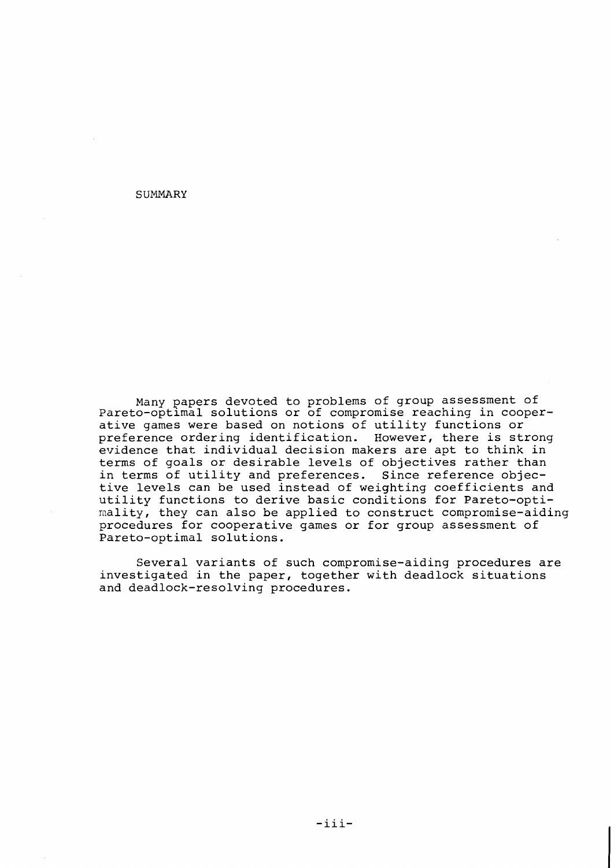SUMMARY

Many papers devoted to problems of group assessment of Pareto-optlmal solutions or of compromise reaching in cooperative games were based on notions of utility functions or preference ordering identification. However, there is strong evidence that individual decision makers are apt to think in terms of goals or desirable levels of objectives rather than in terms of utility and preferences. Since reference objective levels can be used instead of weighting coefficients and utility functions to derive basic conditions for Pareto-optimality, they can also be applied to construct compromise-aiding procedures for cooperative games or for group assessment of Pareto-optimal solutions.

Several variants of such compromise-aiding procedures are investigated in the paper, together with deadlock situations and deadlock-resolving procedures.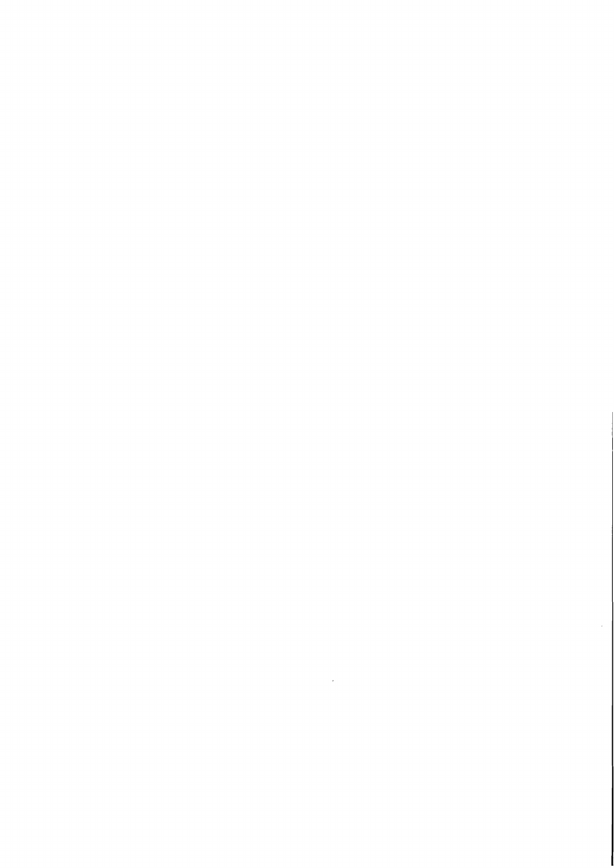$\mathcal{L}_{\mathcal{A}}$  $\mathcal{L}^{\text{max}}_{\text{max}}$  and  $\mathcal{L}^{\text{max}}_{\text{max}}$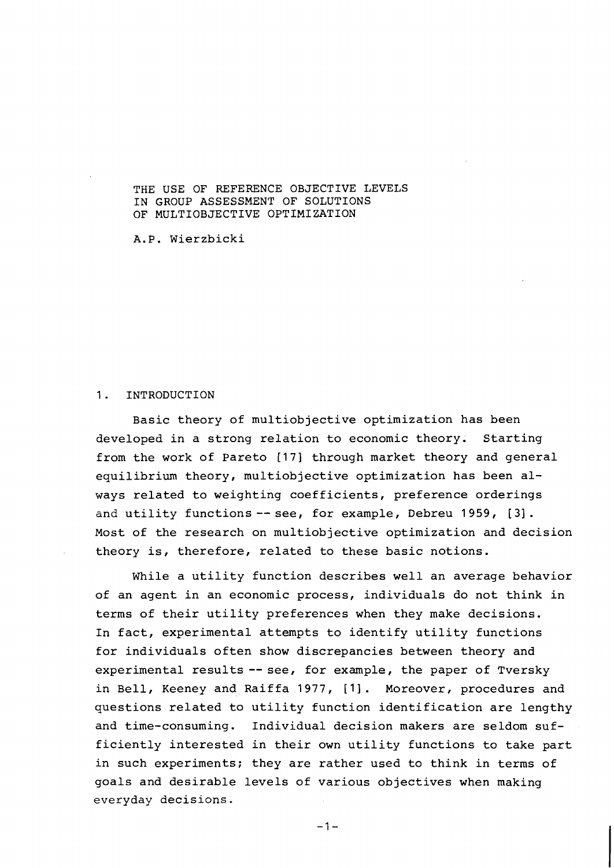THE USE OF REFERENCE OBJECTIVE LEVELS IN GROUP ASSESSMENT OF SOLUTIONS OF MULTIOBJECTIVE OPTIMIZATION

A.P. Wierzbicki

#### 1. INTRODUCTION

Basic theory of multiobjective optimization has been developed in a strong relation to economic theory. Starting from the work of Pareto [17] through market theory and general equilibrium theory, multiobjective optimization has been always related to weighting coefficients, preference orderings and utility functions -- see, for example, Debreu 1959, [3]. Most of the research on multiobjective optimization and decision theory is, therefore, related to these basic notions.

While a utility function describes well an average behavior of an agent in an economic process, individuals do not think in terms of their utility preferences when they make decisions. In fact, experimental attempts to identify utility functions for individuals often show discrepancies between theory and experimental results -- see, for example, the paper of Tversky in Bell, Keeney and Raiffa 1977, [I]. Moreover, procedures and questions related to utility function identification are lengthy and time-consuming. Individual decision makers are seldom sufficiently interested in their own utility functions to take part in such experiments; they are rather used to think in terms of goals and desirable levels of various objectives when making everyday decisions.

 $-1-$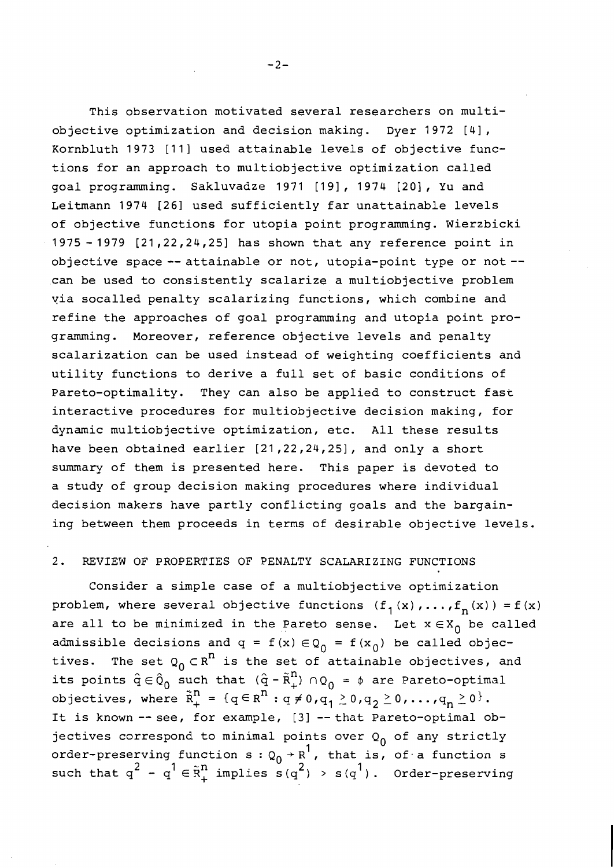This observation motivated several researchers on multiobjective optimization and decision making. Dyer 1972 [41, Kornbluth 1973 [Ill used attainable levels of objective functions for an approach to multiobjective optimization called goal programming. Sakluvadze 1971 [19], 1974 [20], Yu and Leitmann 1974 [26] used sufficiently far unattainable levels of objective functions for utopia point programming. Wierzbicki <sup>1975</sup>- 1979 [21 ,22,24,251 has shown that any reference point in objective space -- attainable or not, utopia-point type or not- can be used to consistently scalarize a multiobjective problem via socalled penalty scalarizing functions, which combine and refine the approaches of goal programming and utopia point programming. Moreover, reference objective levels and penalty scalarization can be used instead of weighting coefficients and utility functions to derive a full set of basic conditions of Pareto-optimality. They can also be applied to construct fast interactive procedures for multiobjective decision making, for dynamic multiobjective optimization, etc. All these results have been obtained earlier [21,22,24,25], and only a short summary of them is presented here. This paper is devoted to a study of group decision making procedures where individual decision makers have partly conflicting goals and the bargaining between them proceeds in terms of desirable objective levels.

### 2. REVIEW OF PROPERTIES OF PENALTY SCALARIZING FUNCTIONS

Consider a simple case of a multiobjective optimization problem, where several objective functions  $(f_1(x),...,f_n(x)) = f(x)$ are all to be minimized in the Pareto sense. Let  $x \in X_0$  be called admissible decisions and  $q = f(x) \in Q_0 = f(x_0)$  be called objectives. The set  $Q_0 \subset R^n$  is the set of attainable objectives, and its points  $\hat{q} \in \hat{Q}_0$  such that  $(\hat{q} - \tilde{R}_+^n) \cap Q_0 = \phi$  are Pareto-optimal objectives, where  $\tilde{R}_{+}^{n} = {q \in R^{n} : q \neq 0, q_{1} \geq 0, q_{2} \geq 0, ..., q_{n} \geq 0}.$ It is known -- see, for example, [3] -- that Pareto-optimal objectives correspond to minimal points over Q<sub>0</sub> of any strictly decrives correspond to minimal points over  $\varphi_0$  or any strictly order-preserving function s:  $\varphi_0$  + R<sup>1</sup>, that is, of a function s such that  $q^2 - q^1 \in \tilde{R}^n_+$  implies  $s(q^2) > s(q^1)$ . Order-preserving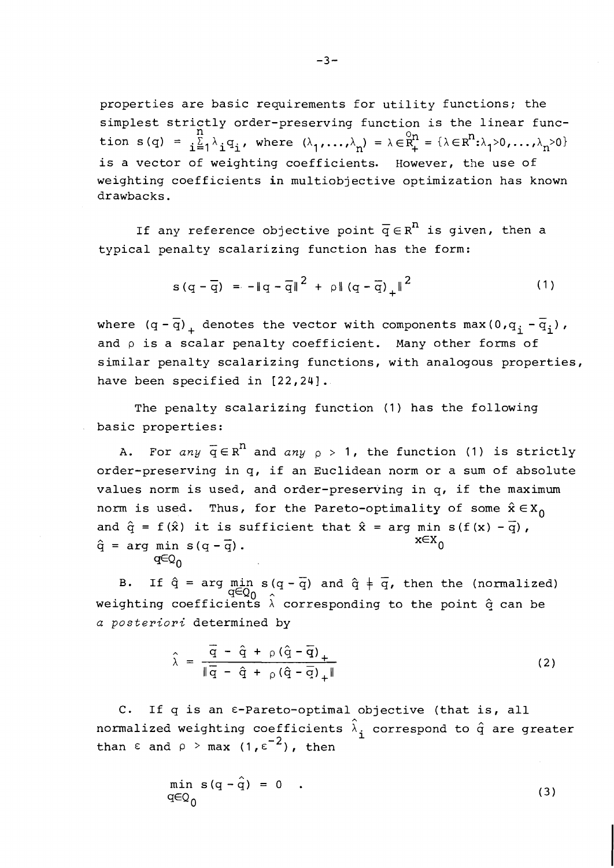properties are basic requirements for utility functions; the simplest strictly order-preserving function is the linear function s (q) =  $\frac{1}{i}\sum_{i=1}^{n} \lambda_i q_i$ , where  $(\lambda_1, ..., \lambda_n) = \lambda \in R_+^0 = {\lambda \in R^n : \lambda_1 > 0, ..., \lambda_n > 0}$ is a vector of weighting coefficients. However, the use of weighting coefficients in multiobjective optimization has known drawbacks.

If any reference objective point  $\overline{q} \in R^n$  is given, then a typical penalty scalarizing function has the form:

$$
s(q - \overline{q}) = -\|q - \overline{q}\|^2 + \rho \| (q - \overline{q})_+\|^2
$$
 (1)

where  $(q-\overline{q})_{+}$  denotes the vector with components max(0,q<sub>i</sub>- $\overline{q}_{i}$ ), and  $\rho$  is a scalar penalty coefficient. Many other forms of similar penalty scalarizing functions, with analogous properties, have been specified in [22,24].

The penalty scalarizing function (1) has the following basic properties:

A. For  $any \overline{q} \in R^n$  and  $any \rho > 1$ , the function (1) is strictly order-preserving in q, if an Euclidean norm or a sum of absolute values norm is used, and order-preserving in q, if the maximum norm is used. Thus, for the Pareto-optimality of some  $\hat{x} \in X_{0}$ norm is used. Thus, for the Pareto-optimality of some  $\hat{\mathbf{x}} \in \mathbf{X}$ <br>and  $\hat{\mathbf{q}} = \mathbf{f}(\hat{\mathbf{x}})$  it is sufficient that  $\hat{\mathbf{x}} = \arg \min \ \mathbf{s}(\mathbf{f}(\mathbf{x}) - \overline{\mathbf{q}})$ , and  $\hat{q} = f(\hat{x})$  it is sufficient that  $\hat{x} = arg min$ <br> $\hat{q} = arg min s(q - \overline{q})$ .  $q \in Q_0$ 

 $\frac{q}{q}$ ,  $\frac{q}{q}$  = arg min s(q -  $\frac{q}{q}$ ) and  $\frac{1}{q}$  =  $\frac{1}{q}$ , then the (normalized) 9EQn **<sup>A</sup>** weighting coefficients  $\lambda$  corresponding to the point  $\hat{q}$  can be **a posteriori** determined by

$$
\hat{\lambda} = \frac{\vec{q} - \hat{q} + \rho (\hat{q} - \vec{q})}{\|\vec{q} - \hat{q} + \rho (\hat{q} - \vec{q})_{+}\|}
$$
\n(2)

C. If q is an  $\epsilon$ -Pareto-optimal objective (that is, all normalized weighting coefficients  $\hat{\lambda}_i$  correspond to  $\hat{q}$  are greater than  $\epsilon$  and  $\rho > \max$   $(1, \epsilon^{-2})$ , then

$$
\min_{q \in Q_0} s(q - \hat{q}) = 0 \quad . \tag{3}
$$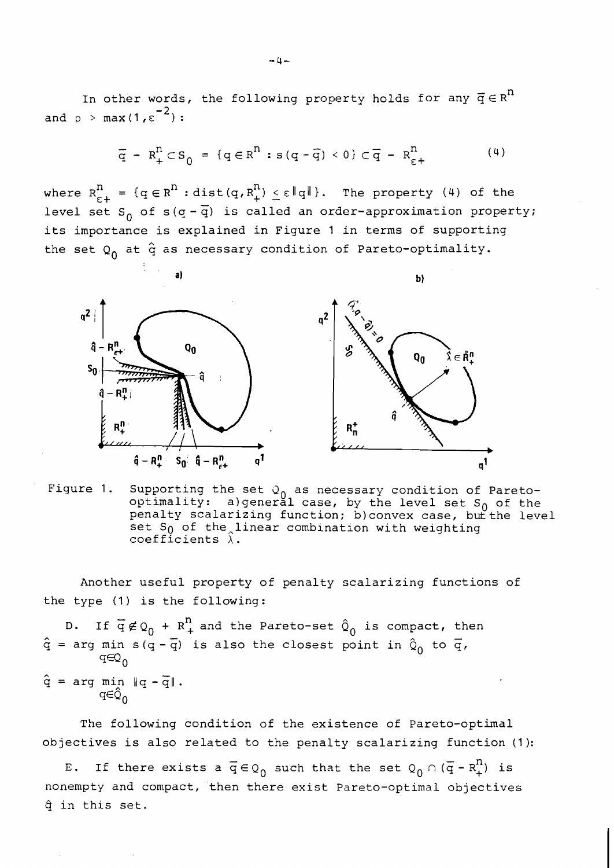In other words, the following property holds for any  $\overline{q} \in R^n$ and  $\rho > max(1,e^{-2})$ :

$$
\overline{q} - R_+^n \subset S_0 = \{q \in R^n : s(q - \overline{q}) < 0\} \subset \overline{q} - R_{\varepsilon+}^n \tag{4}
$$

where  $R_{\epsilon+}^{n}$  =  $\{q \in R^{n}:dist(q,R_{+}^{n}) \leq \epsilon \|q\| \}$ . The property (4) of the is<sup>-</sup><br> $\frac{1}{6}$ level set S<sub>0</sub> of s(q- $\overline{q}$ ) is called an order-approximation property; its importance is explained in Figure 1 in terms of supporting the set  $Q_0$  at  $\hat{q}$  as necessary condition of Pareto-optimality.



Figure 1. Supporting the set  $Q_0$  as necessary condition of Paretooptimality: a)general case, by the level set  $S_0$  of the penalty scalarizing function; b)convex case, but the level set S<sub>0</sub> of the linear combination with weighting coefficients  $\lambda$ .

Another useful property of penalty scalarizing functions of the type (1) is the following:

D. If  $\overline{q} \notin Q_0 + R_+^n$  and the Pareto-set  $\hat{Q}_0$  is compact, then  $\hat{q}$  = arg min s(q -  $\overline{q}$ ) is also the closest point in  $\hat{Q}_0$  to  $\overline{q}$ ,  $q \in Q_{\Omega}$  $\hat{q}$  = arg min  $\|q - \overline{q}\|$ q∈0<sub>0</sub>

The following condition of the existence of Pareto-optimal objectives is also related to the penalty scalarizing function (1):

E. If there exists a  $\overline{q} \in \overline{Q}_{0}$  such that the set  $Q_{0} \cap (\overline{q} - R_{+}^{n})$  is nonempty and compact, 'then there exist Pareto-optimal objectives *Q* in this set.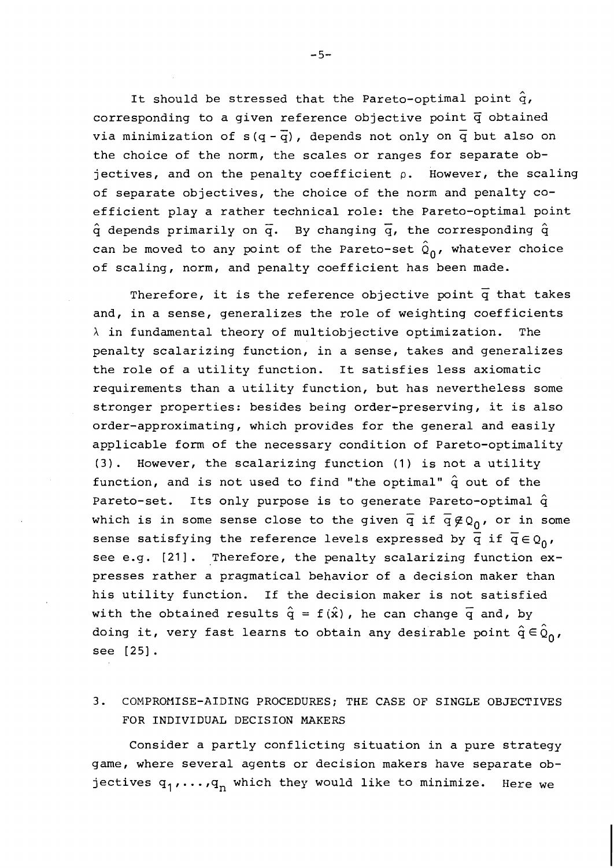It should be stressed that the Pareto-optimal point  $\hat{q}$ , corresponding to a given reference objective point **q** obtained via minimization of  $s(q-\overline{q})$ , depends not only on  $\overline{q}$  but also on the choice of the norm, the scales or ranges for separate objectives, and on the penalty coefficient **p.** However, the scaling of separate objectives, the choice of the norm and penalty coefficient play a rather technical role: the Pareto-optimal point  $\hat{q}$  depends primarily on  $\overline{q}$ . By changing  $\overline{q}$ , the corresponding  $\hat{q}$ can be moved to any point of the Pareto-set  $\hat{\mathsf Q}_{\mathsf n}$ , whatever choice of scaling, norm, and penalty coefficient has been made.

Therefore, it is the reference objective point  $\overline{q}$  that takes and, in a sense, generalizes the role of weighting coefficients  $\lambda$  in fundamental theory of multiobjective optimization. The penalty scalarizing function, in a sense, takes and generalizes the role of a utility function. It satisfies less axiomatic requirements than a utility function, but has nevertheless some stronger properties: besides being order-preserving, it is also order-approximating, which provides for the general and easily applicable form of the necessary condition of Pareto-optimality (3). However, the scalarizing function (1) is not a utility function, and is not used to find "the optimal" *6* out of the Pareto-set. Its only purpose is to generate Pareto-optimal *6*  which is in some sense close to the given  $\overline{q}$  if  $\overline{q} \not\in Q_0$ , or in some sense satisfying the reference levels expressed by  $\overline{q}$  if  $\overline{q} \in Q_0$ , see e.g. [21]. Therefore, the penalty scalarizing function expresses rather a pragmatical behavior of a decision maker than his utility function. If the decision maker is not satisfied with the obtained results  $\hat{q} = f(\hat{x})$ , he can change  $\bar{q}$  and, by  $\lambda$ with the obtained lesuits  $q = I(x)$ , he can change  $q$  and, by<br>doing it, very fast learns to obtain any desirable point  $\hat{q} \in \hat{Q}_0$ , see [25].

## 3. COMPROMISE-AIDING PROCEDURES; THE CASE OF SINGLE OBJECTIVES FOR INDIVIDUAL DECISION MAKERS

Consider a partly conflicting situation in a pure strategy game, where several agents or decision makers have separate objectives  $q_1, \ldots, q_n$  which they would like to minimize. Here we

 $-5-$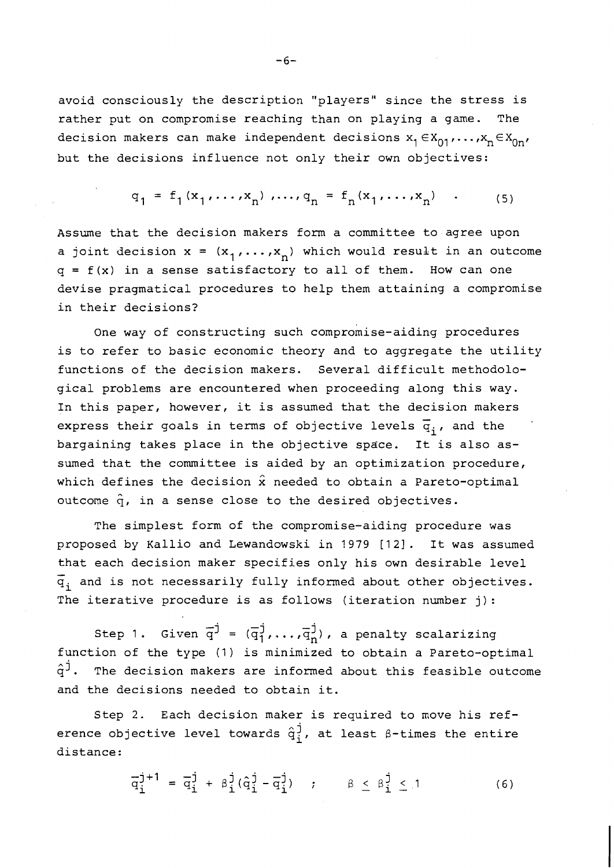avoid consciously the description "players" since the stress is rather put on compromise reaching than on playing a game. The decision makers can make independent decisions  $x_1 \in X_{01}$ ,..., $x_n \in X_{0n}$ , but the decisions influence not only their own objectives:

$$
q_1 = f_1(x_1,...,x_n),..., q_n = f_n(x_1,...,x_n)
$$
 (5)

Assume that the decision makers form a committee to agree upon a joint decision  $x = (x_1, ..., x_n)$  which would result in an outcome  $q = f(x)$  in a sense satisfactory to all of them. How can one devise pragmatical procedures to help them attaining a compromise in their decisions?

One way of constructing such compromise-aiding procedures is to refer to basic economic theory and to aggregate the utility functions of the decision makers. Several difficult methodological problems are encauntered when proceeding along this way. In this paper, however, it is assumed that the decision makers express their goals in terms of objective levels  $\overline{q}_i$ , and the bargaining takes place in the objective space. It is also assumed that the committee is aided by an optimization procedure, which defines the decision  $\hat{x}$  needed to obtain a Pareto-optimal outcome  $\hat{q}$ , in a sense close to the desired objectives.

The simplest form of the compromise-aiding procedure was proposed by Kallio and Lewandowski in **?979** [121. It was assumed that each decision maker specifies only his own desirable level<br> $\bar{a}$  and is not pecessarily fully informed about other ebiography  $\overline{q}_i$  and is not necessarily fully informed about other objectives. The iterative procedure is as follows (iteration number j):

Step 1. Given  $\overline{q}^j = (\overline{q}_1^j, \ldots, \overline{q}_n^j)$ , a penalty scalarizing function of the type (1) is minimized to obtain a Pareto-optimal  $\hat{q}^j$ . The decision makers are informed about this feasible outcome and the decisions needed to obtain it.

Step 2. Each decision maker is required to move his reference objective level towards  $\hat{q}_i^j$ , at least  $\beta$ -times the entire distance:

$$
\bar{q}_{i}^{j+1} = \bar{q}_{i}^{j} + \beta_{i}^{j}(\hat{q}_{i}^{j} - \bar{q}_{i}^{j}) \quad ; \qquad \beta \leq \beta_{i}^{j} \leq 1 \tag{6}
$$

 $-6-$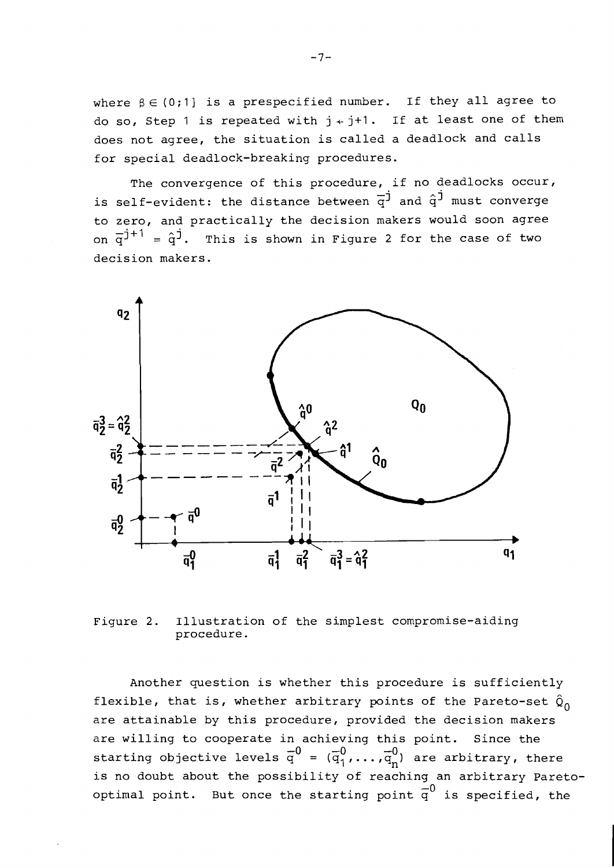where  $\beta \in (0,1]$  is a prespecified number. If they all agree to do so, Step 1 is repeated with  $j + j + 1$ . If at least one of them does not agree, the situation is called a deadlock and calls for special deadlock-breaking procedures.

The convergence of this procedure, if no deadlocks occur, is self-evident: the distance between  $\overline{q}^{\dot{j}}$  and  $\hat{q}^{\dot{j}}$  must converge to zero, and practically the decision makers would soon agree on  $\overline{q}^{j+1} = \hat{q}^j$ . This is shown in Figure 2 for the case of two decision makers.



Figure 2. Illustration of the simplest compromise-aiding procedure.

Another question is whether this procedure is sufficiently flexible, that is, whether arbitrary points of the Pareto-set  $\hat{Q}_0$ are attainable by this procedure, provided the decision makers are willing to cooperate in achieving this point. Since the starting objective levels  $\overline{q}^0 = (\overline{q}_1^0, \ldots, \overline{q}_n^0)$  are arbitrary, there is no doubt about the possibility of reaching an arbitrary Paretooptimal point. But once the starting point  $\overline{q}^0$  is specified, the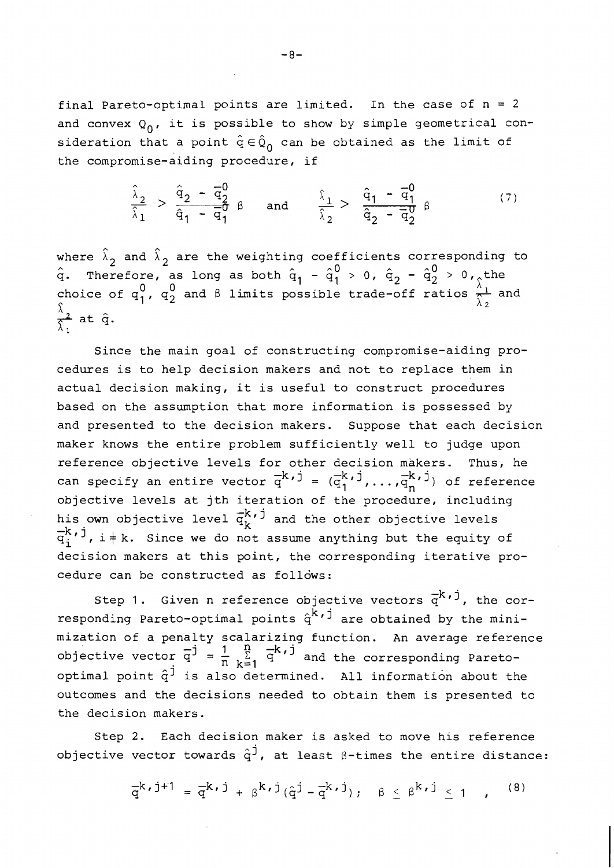final Pareto-optimal points are limited. In the case of  $n = 2$ and convex  $Q_0$ , it is possible to show by simple geometrical consideration that a point  $\hat{q} \in \hat{Q}_0$  can be obtained as the limit of the compromise-aiding procedure, if

$$
\frac{\hat{\lambda}_2}{\hat{\lambda}_1} > \frac{\hat{q}_2 - \bar{q}_2^0}{\hat{q}_1 - \bar{q}_1^0} \quad \text{and} \quad \frac{\hat{\lambda}_1}{\hat{\lambda}_2} > \frac{\hat{q}_1 - \bar{q}_1^0}{\hat{q}_2 - \bar{q}_2^0} \quad (7)
$$

where  $\hat{\lambda}_2$  and  $\hat{\lambda}_2$  are the weighting coefficients corresponding to  $\hat{q}$ . Therefore, as long as both  $\hat{q}_1$  -  $\hat{q}_1^0$  > 0,  $\hat{q}_2$  -  $\hat{q}_2^0$  > 0, the where  $\lambda_2$  and  $\lambda_2$  are the weighting coefficients corresponding to  $\hat{q}$ . Therefore, as long as both  $\hat{q}_1 - \hat{q}_1^0 > 0$ ,  $\hat{q}_2 - \hat{q}_2^0 > 0$ , the choice of  $q_1^0$ ,  $q_2^0$  and  $\beta$  limits possible trade-off rat

Since the main goal of constructing compromise-aiding procedures is to help decision makers and not to replace them in actual decision making, it is useful to construct procedures based on the assumption that more information is possessed by and presented to the decision makers. Suppose that each decision maker knows the entire problem sufficiently well to judge upon reference objective levels for other decision makers. Thus, he can specify an entire vector  $\overline{q}^{k}$ ,<sup>j</sup> =  $(\overline{q}_{1}^{k}, \overline{q}_{1}^{k}, \ldots, \overline{q}_{n}^{k})$  of reference objective levels at jth iteration of the procedure, including his own objective level  $\overline{q}_{k}^{\kappa,\jmath}$  and the other objective levels  $-k$  i  $\overline{q}^{k,j}_i$ ,  $i \neq k$ . Since we do not assume anything but the equity of decision makers at this point, the corresponding iterative procedure can be constructed as follows:

Step 1. Given n reference objective vectors  $\overline{q}^{k}$ , the corresponding Pareto-optimal points  $\hat{q}^{k} \cdot \hat{J}$  are obtained by the minimization of a penalty scalarizing function. An average reference ក្ដ objective vector  $\overline{q}^J = \frac{1}{n} \sum_{k=1}^{n} \overline{q}^{k,j}$  and the corresponding Paretooptimal point  $\hat{q}^j$  is also determined. All information about the outcomes and the decisions needed to obtain them is presented to the decision makers.

Step 2. Each decision maker is asked to move his reference objective vector towards  $\hat{q}^{\hat{J}}$ , at least  $\beta$ -times the entire distance:

$$
\overline{q}^{k, j+1} = \overline{q}^{k, j} + \beta^{k, j} (\hat{q}^{j} - \overline{q}^{k, j}); \quad \beta \leq \beta^{k, j} \leq 1 \quad , \quad (8)
$$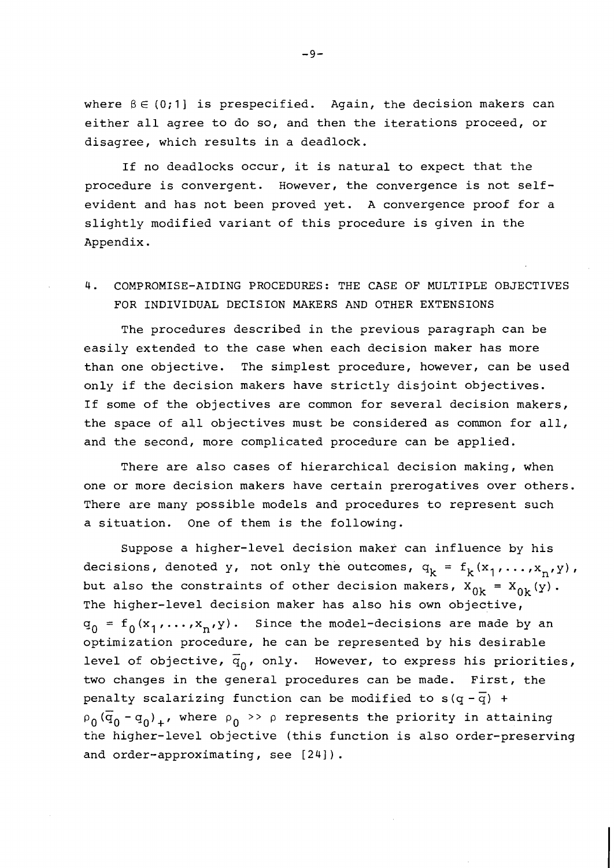where  $\beta \in (0,1]$  is prespecified. Again, the decision makers can either all agree to do so, and then the iterations proceed, or disagree, which results in a deadlock.

If no deadlocks occur, it is natural to expect that the procedure is convergent. However, the convergence is not selfevident and has not been proved yet. A convergence proof for a slightly modified variant of this procedure is given in the Appendix.

## 4. COMPROMISE-AIDING PROCEDURES: THE CASE OF MULTIPLE OBJECTIVES FOR INDIVIDUAL DECISION MAKERS AND OTHER EXTENSIONS

The procedures described in the previous paragraph can be easily extended to the case when each decision maker has more than one objective. The simplest procedure, however, can be used only if the decision makers have strictly disjoint objectives. If some of the objectives are common for several decision makers, the space of all objectives must be considered as common for all, and the second, more complicated procedure can be applied.

There are also cases of hierarchical decision making, when one or more decision makers have certain prerogatives over others. There are many possible models and procedures to represent such a situation. One of them is the following.

Suppose a higher-level decision maker can influence by his decisions, denoted y, not only the outcomes,  $q_k = f_k(x_1, ..., x_n, y)$ , but also the constraints of other decision makers,  $X_{0k} = X_{0k}(y)$ . The higher-level decision maker has also his own objective,  $q_0 = f_0(x_1,...,x_n,y)$ . Since the model-decisions are made by an optimization procedure, he can be represented by his desirable<br>lovel of objective  $\bar{z}$  and we Hovever, to everage his priemiti level of objective,  $\bar{q}_0$ , only. However, to express his priorities, two changes in the general procedures can be made. First, the penalty scalarizing function can be modified to  $s(q-\overline{q})$  +  $p_0(\bar{q}_0 - q_0)_+$ , where  $p_0 \gg p$  represents the priority in attaining the higher-level objective (this function is also order-preserving and order-approximating, see [24]).

 $-9-$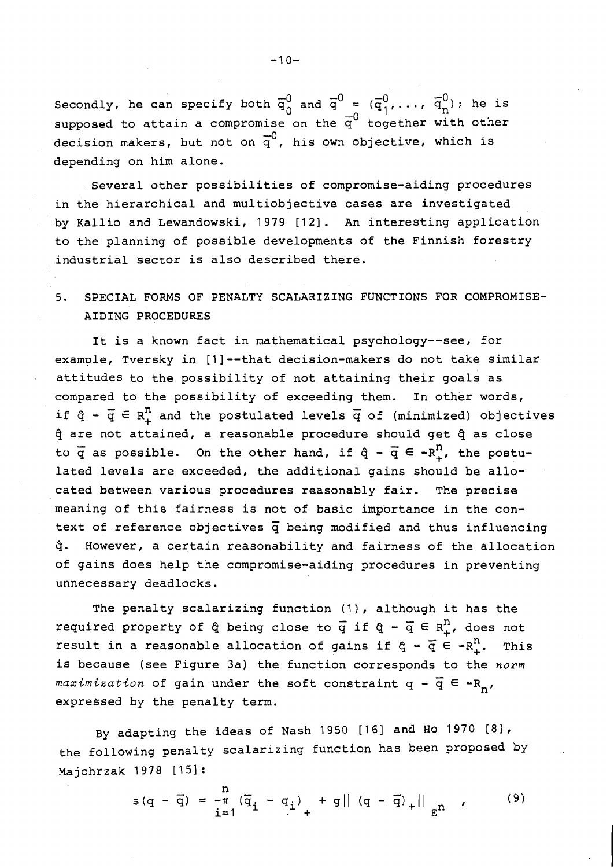Secondly, he can specify both  $\overline{q}_0^0$  and  $\overline{q}^0 = (\overline{q}_1^0, \ldots, \overline{q}_n^0)$ ; he is supposed to attain a compromise on the  $\frac{-0}{q}$  together with other decision makers, but not on  $\overline{q}^0$ , his own objective, which is depending on him alone.

Several other possibilities of compromise-aiding procedures in the hierarchical and multiobjective cases are investigated by Kallio and Lewandowski, 1979 [12]. An interesting application to the planning of possible developments of the Finnish forestry industrial sector is also described there.

## 5. SPECIAL FORMS OF PENALTY SCALARIZING FUNCTIONS FOR COMPROMISE-AIDING PROCEDURES

It is a known fact in mathematical psychology--see, for example, Tversky in [ll--that decision-makers do not take similar attitudes to the possibility of not attaining their goals as compared to the possibility of exceeding them. In other words, if  $\hat{q}$  -  $\bar{q}$   $\in$   $R_+^{\Omega}$  and the postulated levels  $\bar{q}$  of (minimized) objectives  $\frac{3}{4}$  are not attained, a reasonable procedure should get  $\frac{3}{4}$  as close<br>to  $\overline{a}$  as possible. On the other hand, if  $\hat{a}$  =  $\overline{a}$  E =  $\overline{a}^{\text{R}}$ , the posture to  $\bar{q}$  as possible. On the other hand, if  $\hat{q} - \bar{q} \in -R_+^{\bar{n}}$ , the postulated levels are exceeded, the additional gains should be allocated between various procedures reasonably fair. The precise meaning of this fairness is not of basic importance in the context of reference objectives **q** being modified and thus influencing **4.** However, a certain reasonability and fairness of the allocation of gains does help the compromise-aiding procedures in preventing unnecessary deadlocks.

The penalty scalarizing function (I), although it has the required property of  $\hat{q}$  being close to  $\vec{q}$  if  $\hat{q} - \vec{q} \in R_+^n$ , does not result in a reasonable allocation of gains if  $q - \overline{q} \in -R_+^n$ . This is because (see Figure 3a) the function corresponds to the norm maximization of gain under the soft constraint  $q - \overline{q} \in -R_n$ , expressed by the penalty term.

By adapting the ideas of Nash 1950 [I **61** and Ho 1970 **[B]** , the following penalty scalarizing function has been proposed by Majchrzak 1978 [15] :

$$
s(q - \overline{q}) = \frac{n}{i-1}(\overline{q}_{i} - q_{i}) + g|| (q - \overline{q})_{+}||_{E^{n}} \qquad (9)
$$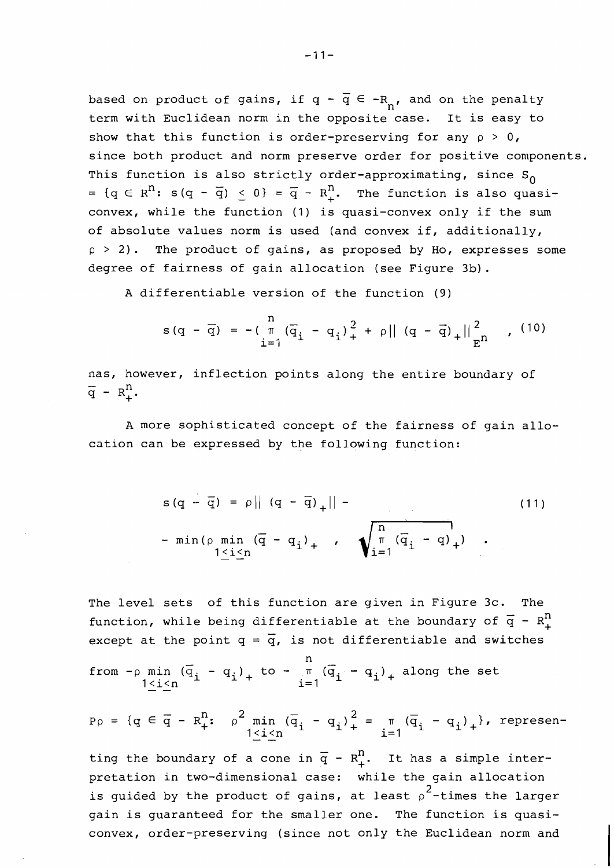$\frac{1}{\alpha}$ based on product of gains, if  $q - \overline{q} \in -R_{n'}$ , and on the penalty term with Euclidean norm in the opposite case. It is easy to show that this function is order-preserving for any  $\rho > 0$ , since both product and norm preserve order for positive components. This function is also strictly order-approximating, since  $S_0$ <br>= {q  $\in$  R<sup>n</sup>: s(q -  $\overline{q}$ )  $\leq$  0} =  $\overline{q}$  - R<sub>1</sub>. The function is also quasiconvex, while the function (1) is quasi-convex only if the sum of absolute values norm is used (and convex if, additionally,  $p > 2$ ). The product of gains, as proposed by Ho, expresses some degree of fairness of gain allocation (see Figure 3b).

A differentiable version of the function (9)

$$
s(q - \overline{q}) = -(\frac{n}{i-1}(\overline{q}_{i} - q_{i})_{+}^{2} + \rho || (q - \overline{q})_{+} ||_{E}^{2} , \quad (10)
$$

nas, however, inflection points along the entire boundary of  $\overline{q}$  -  $R_+^n$ .

A more sophisticated concept of the fairness of gain allocation can be expressed by the following function:

$$
s(q - \bar{q}) = \rho || (q - \bar{q})_{+} || - \qquad (11)
$$
  
- min( $\rho$  min ( $\bar{q}$  -  $q_{i}$ )\_{+} ,  $\sqrt{\prod_{i=1}^{n} (\bar{q}_{i} - q)_{+}}$ ) .

The level sets of this function are given in Figure 3c. The function, while being differentiable at the boundary of  $\overline{q}$  -  $R_+^{\text{n}}$ except at the point  $q = \overline{q}$ , is not differentiable and switches

 $\frac{1}{a}$  =  $\frac{1}{a}$  +  $\frac{1}{a}$  =  $\frac{n}{a}$ from  $-\rho$  min  $(\vec{q}_i - q_i)_+$  to  $-\frac{n}{\pi}$   $(\vec{q}_i - q_i)_+$  along the set  $1 \le i \le n$   $\qquad \qquad$   $\qquad \qquad$   $\qquad \qquad$   $\qquad \qquad$   $\qquad \qquad$   $\qquad \qquad$   $\qquad \qquad$   $\qquad \qquad$   $\qquad \qquad$   $\qquad \qquad$   $\qquad \qquad$   $\qquad \qquad$   $\qquad$   $\qquad \qquad$   $\qquad$   $\qquad$   $\qquad$   $\qquad$   $\qquad$   $\qquad$   $\qquad$   $\qquad$   $\qquad$   $\qquad$   $\qquad$   $\qquad$   $\qquad$   $\qquad$   $\qquad$ 

$$
p_{\rho} = \{q \in \overline{q} - R_{+}^{n}: \quad \rho^{2} \min_{1 \leq i \leq n} (\overline{q}_{i} - q_{i})_{+}^{2} = \pi (\overline{q}_{i} - q_{i})_{+}\}, \text{ represen-}
$$

ting the boundary of a cone in  $\bar{q}$  -  $R_+^n$ . It has a simple interpretation in two-dimensional case: while the gain allocation is guided by the product of gains, at least  $\rho^2$ -times the larger gain is guaranteed for the smaller one. The function is quasiconvex, order-preserving (since not only the Euclidean norm and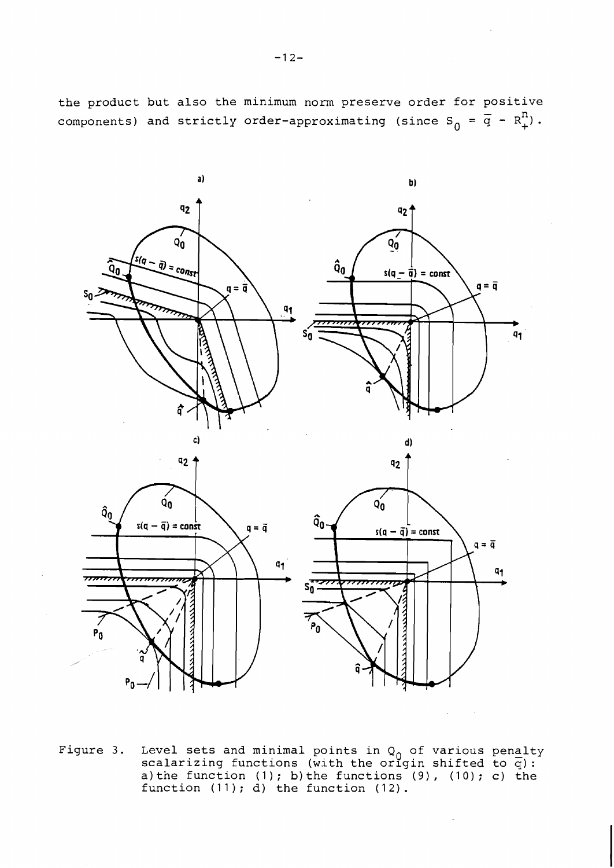**the product but also the minimum norm preserve order for positive**  components) and strictly order-approximating (since  $S_0 = \overline{q} - R_+^n$ ).



Figure 3. Level sets and minimal points in Q<sub>0</sub> of various penalty scalarizing functions (with the origin shifted to  $\overline{q}$ ): **a)the function (1); b)the functions** (9), **(10)** ; **c) the function (11); d) the function (12).**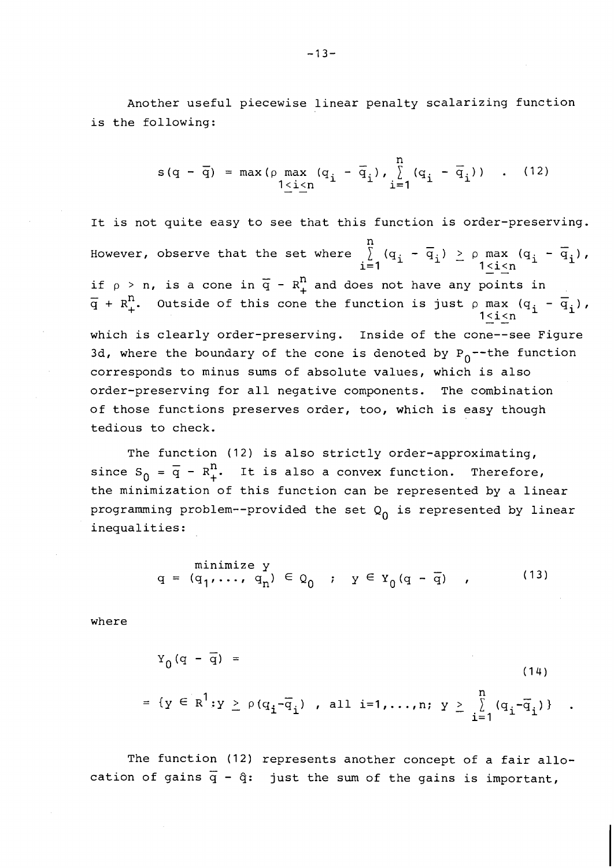Another useful piecewise linear penalty scalarizing function is the following:

$$
s(q - \overline{q}) = \max(\rho \max_{1 \le i \le n} (q_i - \overline{q}_i), \sum_{i=1}^{n} (q_i - \overline{q}_i))
$$
 (12)

It is not quite easy to see that this function is order-preserving. However, observe that the set where  $\sum_{i=1}^{n} (q_i - \overline{q}_i) \geq \rho \max_{1 \leq i \leq n} (q_i - \overline{q}_i)$ , if  $\rho > n$ , is a gono in  $\overline{q} = p^n$  and doos not have any points in if  $p > n$ , is a cone in  $\overline{q} - R_+^n$  and does not have any points in  $\overline{q} + R_+^n$ . Outside of this cone the function is just  $p \max (q_i - \overline{q}_i)$ ,  $1<$ i $<$ n $\,$ which is clearly order-preserving. Inside of the cone--see Figure 3d, where the boundary of the cone is denoted by  $P_0$ --the function corresponds to minus sums of absolute values, which is also order-preserving for all negative components. The combination of those functions preserves order, too, which is easy though tedious to check.

The function (12) is also strictly order-approximating, since  $S_0 = \overline{q} - R_+^n$ . It is also a convex function. Therefore, the minimization of this function can be represented by a linear programming problem--provided the set  $Q_0$  is represented by linear inequalities:

$$
q = (q_1, \ldots, q_n) \in Q_0 \; ; \; y \in Y_0(q - \overline{q}) \quad , \tag{13}
$$

where

$$
Y_0(q - \bar{q}) =
$$
\n(14)\n
$$
= \{y \in R^1 : y \ge \rho(q_i - \bar{q}_i) \text{ all } i = 1, ..., n; y \ge \sum_{i=1}^n (q_i - \bar{q}_i) \}.
$$

The function (12) represents another concept of a fair allocation of gains  $\bar{q}$  -  $\hat{q}$ : just the sum of the gains is important,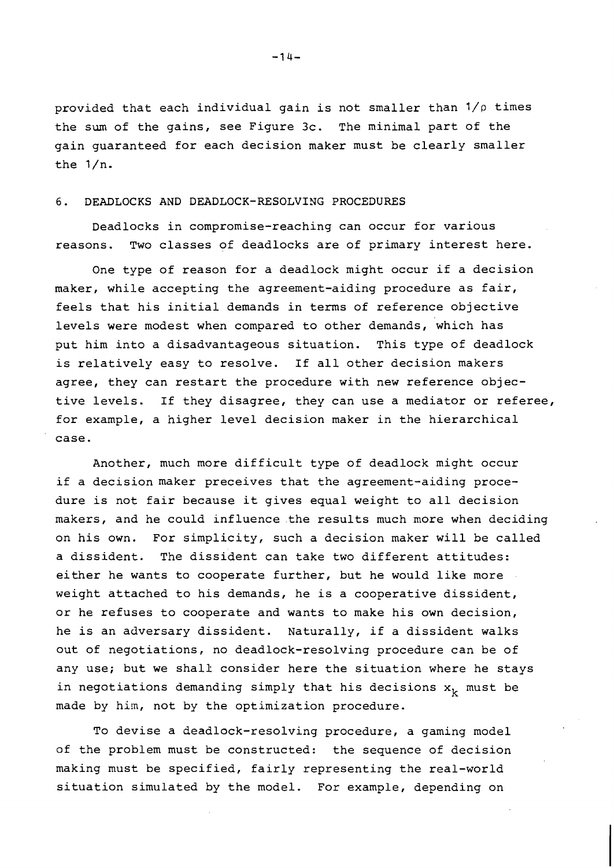provided that each individual gain is not smaller than  $1/\rho$  times the sum of the gains, see Figure 3c. The minimal part of the gain guaranteed for each decision maker must be clearly smaller the  $1/n$ .

#### 6. DEADLOCKS AND DEADLOCK-RESOLVING PROCEDURES

Deadlocks in compromise-reaching can occur for various reasons. Two classes of deadlocks are of primary interest here.

One type of reason for a deadlock might occur if a decision maker, while accepting the agreement-aiding procedure as fair, feels that his initial demands in terms of reference objective levels were modest when compared to other demands, which has put him into a disadvantageous situation. This type of deadlock is relatively easy to resolve. If all other decision makers agree, they can restart the procedure with new reference objective levels. If they disagree, they can use a mediator or referee, for example, a nigher level decision maker in the hierarchical case.

Another, much more difficult type of deadlock might occur if a decision maker preceives that the agreement-aiding procedure is not fair because it gives equal weight to all decision makers, and he could influence the results much more when deciding on his own. For simplicity, such a decision maker will be called a dissident. The dissident can take two different attitudes: either he wants to cooperate further, but he would like more weight attached to his demands, he is a cooperative dissident, or he refuses to cooperate and wants to make his own decision, he is an adversary dissident. Naturally, if a dissident walks out of negotiations, no deadlock-resolving procedure can be of any use; but we shall consider here the situation where he stays in negotiations demanding simply that his decisions  $x_k$  must be made by him, not by the optimization procedure.

To devise a deadlock-resolving procedure, a gaming model of the problem must be constructed: the sequence of decision making must be specified, fairly representing the real-world situation simulated by the model. For example, depending on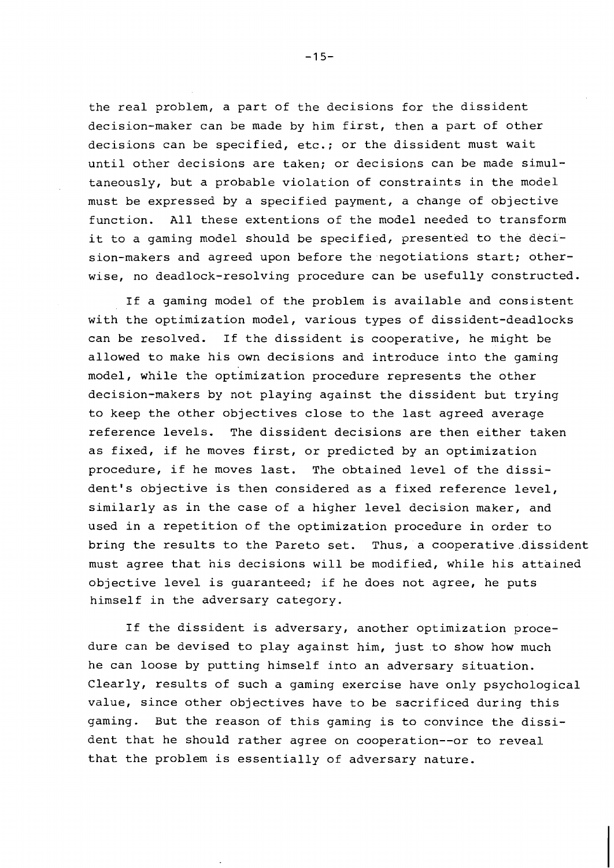the real problem, a part of the decisions for the dissident decision-maker can be made by him first, then a part of other decisions can be specified, etc.; or the dissident must wait until other decisions are taken; or decisions can be made simultaneously, but a probable violation of constraints in the model must be expressed by a specified payment, a change of objective function. All these extentions of the model needed to transform it to a gaming model should be specified, presented to the decision-makers and agreed upon before the negotiations start; otherwise, no deadlock-resolving procedure can be usefully constructed.

If a gaming model of the problem is available and consistent with the optimization model, various types of dissident-deadlocks can be resolved. If the dissident is cooperative, he might be allowed to make his own decisions and introduce into the gaming model, while the optimization procedure represents the other decision-makers by not playing against the dissident but trying to keep the other objectives close to the last agreed average reference levels. The dissident decisions are then either taken as fixed, if he moves first, or predicted by an optimization procedure, if he moves last. The obtained level of the dissident's objective is then considered as a fixed reference level, similarly as in the case of a higher level decision maker, and used in a repetition of the optimization procedure in order to bring the results to the Pareto set. Thus, a cooperative dissident must agree that his decisions will be modified, while his attained objective level is guaranteed; if he does not agree, he puts himself in the adversary category.

If the dissident is adversary, another optimization procedure can be devised to play against him, just.to show how much he can loose by putting himself into an adversary situation. Clearly, results of such a gaming exercise have only psychological value, since other objectives have to be sacrificed during this gaming. But the reason of this gaming is to convince the dissident that he should rather agree on cooperation--or to reveal that the problem is essentially of adversary nature.

 $-15-$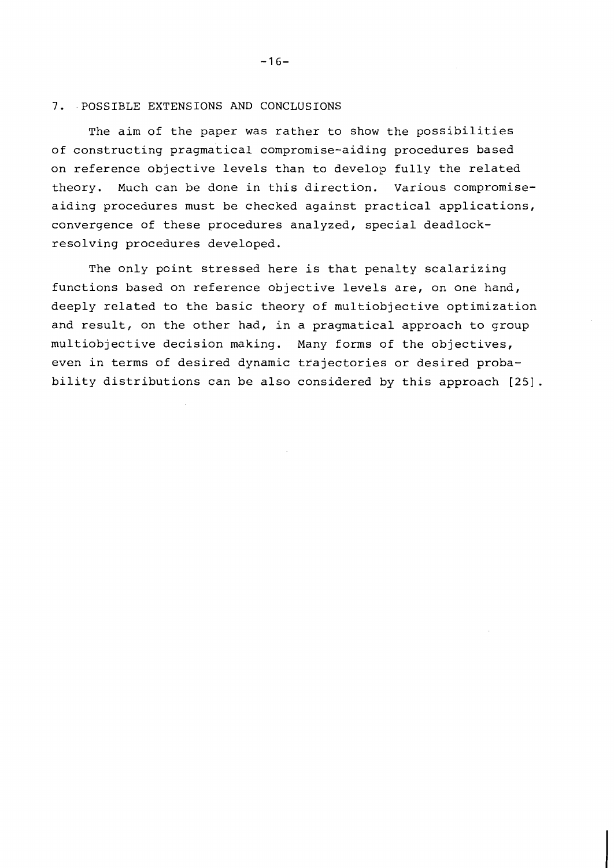## 7. .POSSIBLE EXTENSIONS AND CONCLUSIONS

The aim of the paper was rather to show the possibilities of constructing pragmatical compromise-aiding procedures based on reference objective levels than to develop fully the related theory. Much can be done in this direction. Various compromiseaiding procedures must be checked against practical applications, convergence of these procedures analyzed, special deadlockresolving procedures developed.

The only point stressed here is that penalty scalarizing functions based on reference objective levels are, on one hand, deeply related to the basic theory of multiobjective optimization and result, on the other had, in a pragmatical approach to group multiobjective decision making. Many forms of the objectives, even in terms of desired dynamic trajectories or desired probability distributions can be also considered by this approach [25].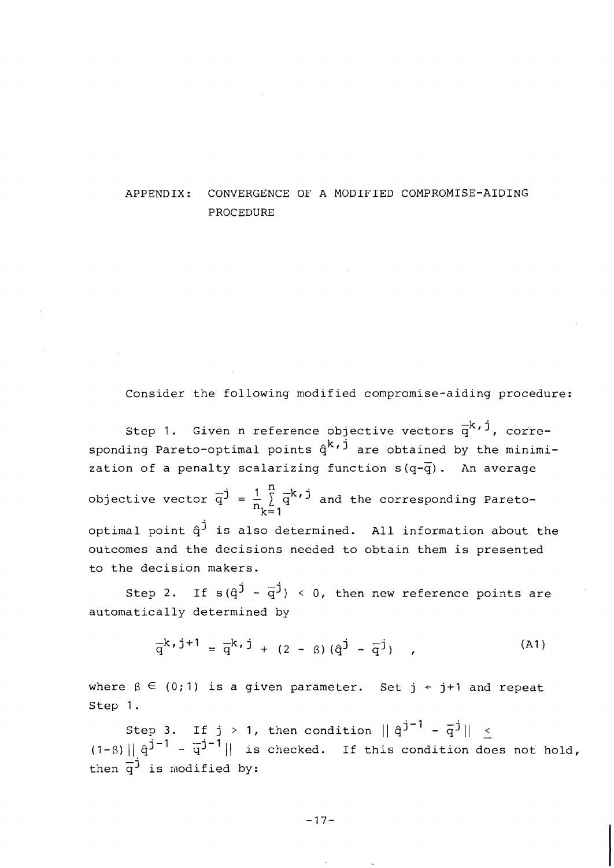# APPENDIX: CONVERGENCE OF A MODIFIED COMPROMISE-AIDING PROCEDURE

Consider the following modified compromise-aiding procedure:

Step 1. Given n reference objective vectors  $\overline{q}^{k}$ ,  $\overline{J}$ , corresponding Pareto-optimal points  $\hat{q}^{k}$ , are obtained by the minimization of a penalty scalarizing function  $s(q-\overline{q})$ . An average n objective vector  $\overline{q}^J$  =  $\frac{1}{n}$   $\frac{1}{q}$   $\overline{q}^{k}$ , and the corresponding Pareto $n_{k=1}^{2}$ optimal point  $\hat{q}^j$  is also determined. All information about the outcomes and the decisions needed to obtain them is presented to the decision makers.

Step 2. If  $s(\hat{q}^j - \tilde{q}^j) < 0$ , then new reference points are automatically determined by

$$
\overline{q}^{k}, \overline{j}^{+1} = \overline{q}^{k}, \overline{j} + (2 - \beta) (\hat{q}^{\overline{j}} - \overline{q}^{\overline{j}}), \qquad (A1)
$$

where  $\beta \in (0,1)$  is a given parameter. Set  $j \leftarrow j+1$  and repeat Step 1.

Step 3. If  $j > 1$ , then condition  $||\hat{q}^{j-1} - \overline{q}^{j}|| \leq$ (1-B)  $\left\|\begin{array}{cc} 1 & -1 \\ 0 & -1 \end{array}\right\|$  is checked. If this condition does not hold, then  $\overline{q}^{\dot{j}}$  is modified by: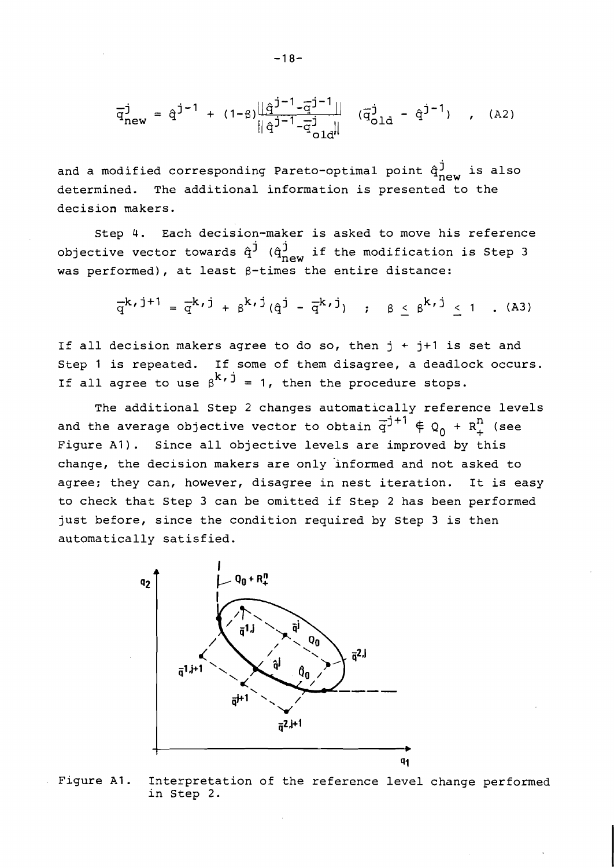$$
\overline{q}_{\text{new}}^{j} = \hat{q}^{j-1} + (1-\beta) \frac{||\hat{q}^{j-1} - \overline{q}^{j-1}||}{||\hat{q}^{j-1} - \overline{q}^{j}||} \quad (\overline{q}_{\text{old}}^{j} - \hat{q}^{j-1}) \quad , \quad (A2)
$$

and a modified corresponding Pareto-optimal point  $\hat{q}^j_{new}$  is also determined. The additional information is presented to the decision makers.

Step 4. Each decision-maker is asked to move his reference objective vector towards  $\hat{q}^j$  ( $\hat{q}^j_{new}$  if the modification is Step 3 was performed), at least β-times the entire distance:

$$
\overline{q}^{k, j+1} = \overline{q}^{k, j} + \beta^{k, j} (\hat{q}^{j} - \overline{q}^{k, j}) \quad ; \quad \beta \leq \beta^{k, j} \leq 1 \quad . \quad (A3)
$$

If all decision makers agree to do so, then  $j + j+1$  is set and Step 1 is repeated. If some of them disagree, a deadlock occurs. If all agree to use  $\beta^{k}$ ,  $j = 1$ , then the procedure stops.

The additional Step 2 changes automatically reference levels and the average objective vector to obtain  $\vec{q}^{j+1} \notin Q_0 + R_+^n$  (see Figure Al). Since all objective levels are improved by this change, the decision makers are only 'informed and not asked to agree; they can, however, disagree in nest iteration. It is easy to check that Step 3 can be omitted if Step 2 has been performed just before, since the condition required by Step 3 is then automatically satisfied.



Figure Al. Interpretation of the reference level change performed in Step 2.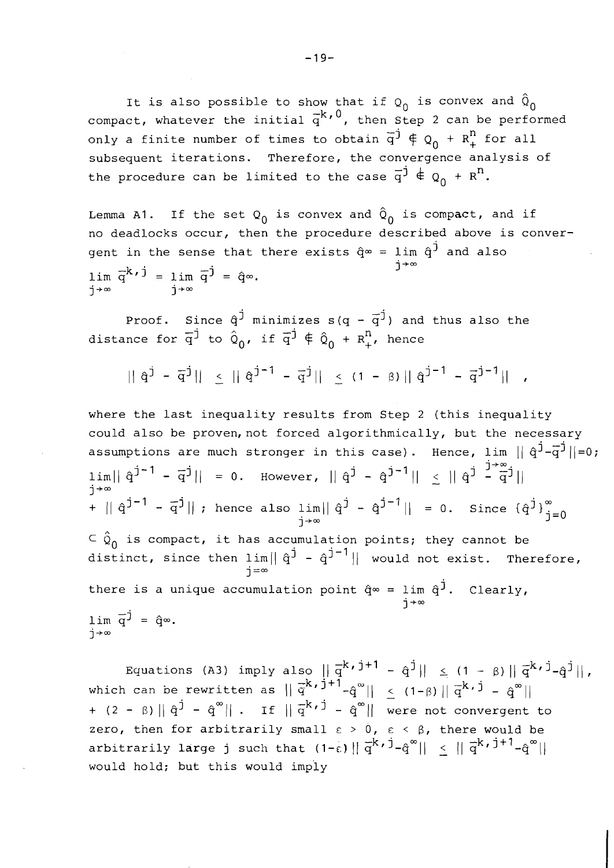It is also possible to show that if  $\mathtt{Q}_{0}$  is convex and  $\hat{\mathtt{Q}}_{0}$ compact, whatever the initial  $\bar{q}^{k,0}$ , then Step 2 can be performed only a finite number of times to obtain  $\tilde{q}^j \notin Q_0 + R_+^{\text{n}}$  for all subsequent iterations. Therefore, the convergence analysis of the procedure can be limited to the case  $\overline{q}^j \notin Q_0 + R^n$ .

Lemma A1. If the set  $Q_0$  is convex and  $\hat{Q}_0$  is compact, and if no deadlocks occur, then the procedure described above is convergent in the sense that there exists  $\hat{q}^{\infty} = \lim_{i \to \infty} \hat{q}^{j}$  and also  $\lim_{\substack{\rightarrow \infty \\ \lambda \to \infty}} \overline{q}^{k} \cdot \overline{1} = \lim_{\substack{\rightarrow \infty \\ \lambda \to \infty}} \overline{q}^{j} = \hat{q}^{\infty}.$ 

Proof. Since  $\hat{q}^j$  minimizes  $s(q - \vec{q}^j)$  and thus also the distance for  $\overline{q}^j$  to  $\hat{Q}_0$ , if  $\overline{q}^j \notin \hat{Q}_0 + R_+^{\overline{n}}$ , hence

 $|| \hat{q}^{j} - \overline{q}^{j} ||$  <  $|| \hat{q}^{j-1} - \overline{q}^{j} ||$  <  $(1 - \beta) || \hat{q}^{j-1} - \overline{q}^{j-1} ||$ 

where the last inequality results from Step 2 (this inequality could also be proven, not forced algorithmically, but the necessary assumptions are much stronger in this case). Hence, lim  $|| \hat{q}^{\dot{1}} - \overline{q}^{\dot{1}} || = 0$ ; assumptions are much stronger in this case). Hence, iim<br>im||  $\hat{q}^{j-1}$  -  $\overline{q}^{j}$ || = 0. However, ||  $\hat{q}^{j}$  -  $\hat{q}^{j-1}$ ||  $\leq$  ||  $\hat{q}^{j}$  -  $\overline{q}^{j+\infty}$  $j \rightarrow \infty$ +  $|| \hat{q}^{j-1} - \bar{q}^{j} ||$ ; hence also  $\lim_{j \to \infty} || \hat{q}^{j} - \hat{q}^{j-1} || = 0$ . Since  $\{\hat{q}^{j}\}_{j=0}^{\infty}$  $\sigma\in\hat{\Omega}_0$  is compact, it has accumulation points; they cannot be distinct, since then lim $\|\hat{q}^j - \hat{q}^{j-1}\|$  would not exist. Therefore, ]=∝ there is a unique accumulation point  $\hat{\mathrm{q}}^{\infty}$  = lim  $\hat{\mathrm{q}}^{\dot{\mathrm{J}}}$ . Clearly,  $\dot{1}$   $\rightarrow \infty$  $\lim \overline{q}^{J} = \hat{q}^{\infty}.$ j+w

Equations (A3) imply also  $\|\vec{q}^{k} \cdot \vec{J}^{+1} - \hat{q}^j\| \leq (1 - \beta) \|\vec{q}^{k} \cdot \vec{J} - \hat{q}^j\|$ , which can be rewritten as  $\|\vec{q}^{k}, \vec{j}^{+1} - \hat{q}^{\infty} \| \le (1-\beta) \|\vec{q}^{k}, \vec{j} - \hat{q}^{\infty}$ +  $(2 - \beta) || \hat{q}^j - \hat{q}^{\infty} ||$ . If  $|| \overline{q}^{k} \cdot \hat{J} - \hat{q}^{\infty} ||$  were not convergent to zero, then for arbitrarily small  $\varepsilon > 0$ ,  $\varepsilon < \beta$ , there would be arbitrarily large j such that  $(1-\epsilon)\|\vec{q}^{k} \cdot \vec{J} - \hat{q}^{\infty} \|$  <  $\|\vec{q}^{k} \cdot \vec{J}^{+1} - \hat{q}^{\infty} \|$ would hold; but this would imply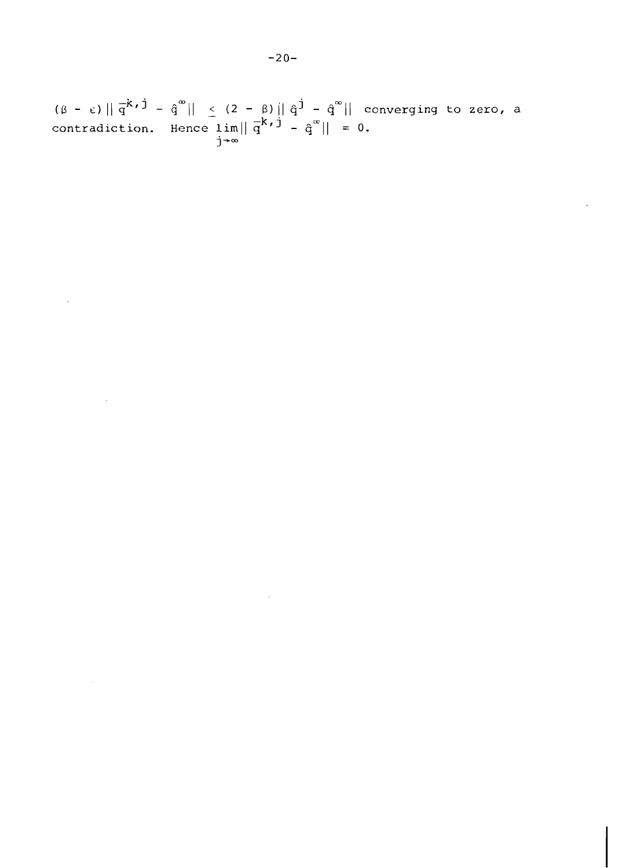$(\beta - \epsilon) \mid \vec{q}^{k}$ ,  $\dot{J}$  -  $\hat{q}^{\infty} \mid \mid$   $\leq$   $(2 - \beta) \mid \mid \hat{q}^{\dot{J}}$  -  $\hat{q}^{\infty} \mid \mid$  converging to zero, a contradiction. Hence lim  $\mid \mid \vec{q}^{k}$ ,  $\dot{J}$  -  $\hat{q}^{\infty} \mid \mid$  = 0. . **⊥…** ∣<br>i →∞

 $\sim$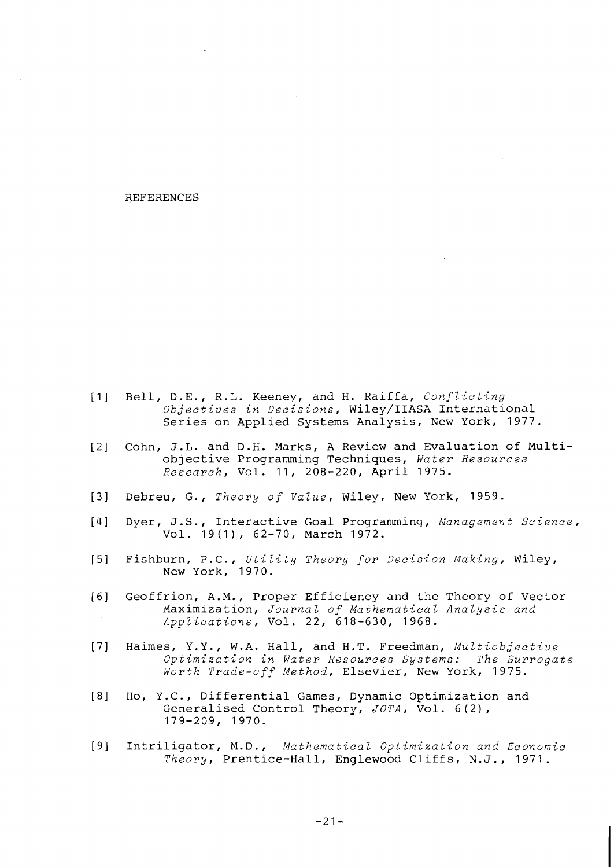#### REFERENCES

- [1] Bell, D.E., R.L. Keeney, and H. Raiffa, Conflicting Objectives in Decisions, Wiley/IIASA International Series on Applied Systems Analysis, New York, 1977.
- $[2]$ Cohn, J.L. and D.H. Marks, A Review and Evaluation of Multiobjective Programming Techniques, Water Resources Research, Vol. 11, 208-220, April 1975.
- Debreu, G., Theory of Value, Wiley, New York, 1959.  $[3]$
- Dyer, J.S., Interactive Goal Programming, Management Science,  $[4]$ Vol. 19(1), 62-70, March 1972.
- $[5]$ Fishburn, P.C., Utility Theory for Decision Making, Wiley, New York, 1970.
- $[6]$ Geoffrion, A.M., Proper Efficiency and the Theory of Vector Maximization, Journal of Mathematical Analysis and Applications, Vol. 22, 618-630, 1968.
- $[7]$ Haimes, Y.Y., W.A. Hall, and H.T. Freedman, Multiobjective Optimization in Water Resources Systems: The Surrogate Worth Trade-off Method, Elsevier, New York, 1975.
- $[8]$ Ho, Y.C., Differential Games, Dynamic Optimization and Generalised Control Theory, JOTA, Vol. 6(2), 179-209, 1970.
- $[9]$ Intriligator, M.D., Mathematical Optimization and Economic Theory, Prentice-Hall, Englewood Cliffs, N.J., 1971.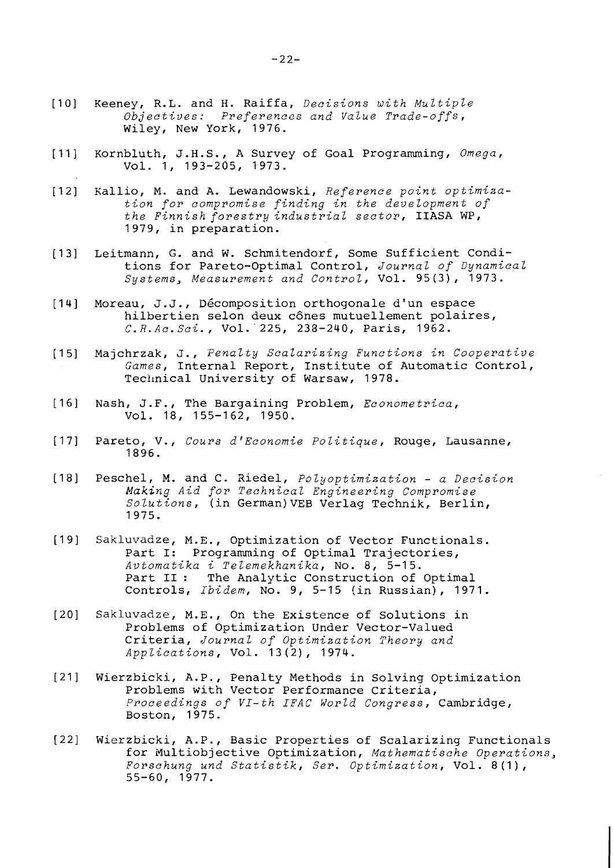- $[10]$ Keeney, R.L. and H. Raiffa, Decisions with Multiple Objectives: Preferences and Value Trade-offs, Wiley, New York, 1976.
- Kornbluth, J.H.S., A Survey of Goal Programming, Omega,  $[11]$ Vol. 1, 193-205, 1973.
- Kallio, M. and A. Lewandowski, Reference point optimiza- $[12]$ tion for compromise finding in the development of the Finnish forestry industrial sector,  $IIASA$  WP, 1979, in preparation.
- Leitmann, G. and W. Schmitendorf, Some Sufficient Condi- $[13]$ tions for Pareto-Optimal Control, Journal of Dynamical Systems, Measurement and Control, Vol. 95(3), 1973.
- $[14]$ Moreau, J.J., Décomposition orthogonale d'un espace hilbertien selon deux c6nes mutuellement polaires,  $C.R.A.c. Sci.$ , Vol. 225, 238-240, Paris, 1962.
- Majchrzak, J., Penalty Scalarizing Functions in Cooperative  $[15]$ Games, Internal Report, Institute of Automatic Control, Technical University of Warsaw, 1978.
- $[16]$ Nash, J.F., The Bargaining Problem, Econometrica, Vol. 18, 155-162, 1950.
- $[17]$ Pareto, V., Cours d'Economie Politique, Rouge, Lausanne, 1896.
- $[18]$ Peschel, M. and C. Riedel, Polyoptimization - a Decision Making Aid for Technical Engineering Compromise  $Solutions$ , (in German) VEB Verlag Technik, Berlin, 1975.
- $[19]$ Sakluvadze, M.E., Optimization of Vector Functionals. Part I: Programming of Optimal Trajectories, Avtomatika i TeZemekhanika, No. 8, 5-15. Part II: The Analytic Construction of Optimal Controls,  $Ibidem$ , No. 9, 5-15 (in Russian), 1971.
- Sakluvadze, M.E., On the Existence of Solutions in  $[20]$ Problems of Optimization Under Vector-Valued Criteria, Journal of Optimization Theory and Applications, Vol. 13(2), 1974.
- Wierzbicki, A.P., Penalty Methods in Solving Optimization  $[21]$ Problems with Vector Performance Criteria, Proceedings of VI-th IFAC World Congress, Cambridge, Boston, 1975.
- $[22]$ Wierzbicki, A.P., Basic Properties of Scalarizing Functionals for Multiobjective Optimization, Mathematische Operations, Forschung und Statistik, Ser. Optimization, Vol. 8(1),<br>55-60, 1977.